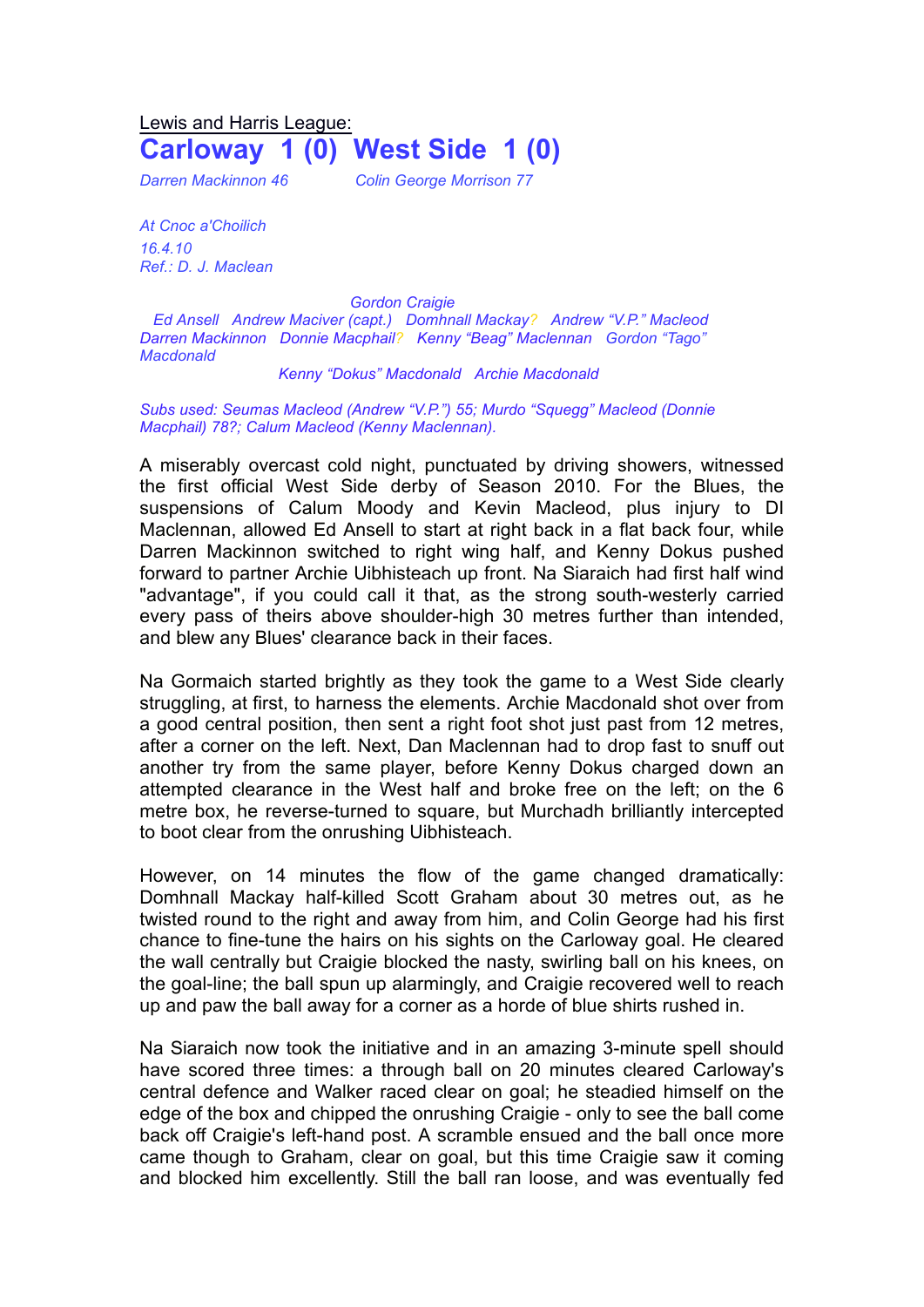## Lewis and Harris League: **Carloway 1 (0) West Side 1 (0)**

*Darren Mackinnon 46 Colin George Morrison 77*

*At Cnoc a'Choilich 16.4.10 Ref.: D. J. Maclean*

*Gordon Craigie Ed Ansell Andrew Maciver (capt.) Domhnall Mackay? Andrew "V.P." Macleod Darren Mackinnon Donnie Macphail? Kenny "Beag" Maclennan Gordon "Tago" Macdonald*

## *Kenny "Dokus" Macdonald Archie Macdonald*

*Subs used: Seumas Macleod (Andrew "V.P.") 55; Murdo "Squegg" Macleod (Donnie Macphail) 78?; Calum Macleod (Kenny Maclennan).*

A miserably overcast cold night, punctuated by driving showers, witnessed the first official West Side derby of Season 2010. For the Blues, the suspensions of Calum Moody and Kevin Macleod, plus injury to DI Maclennan, allowed Ed Ansell to start at right back in a flat back four, while Darren Mackinnon switched to right wing half, and Kenny Dokus pushed forward to partner Archie Uibhisteach up front. Na Siaraich had first half wind "advantage", if you could call it that, as the strong south-westerly carried every pass of theirs above shoulder-high 30 metres further than intended, and blew any Blues' clearance back in their faces.

Na Gormaich started brightly as they took the game to a West Side clearly struggling, at first, to harness the elements. Archie Macdonald shot over from a good central position, then sent a right foot shot just past from 12 metres, after a corner on the left. Next, Dan Maclennan had to drop fast to snuff out another try from the same player, before Kenny Dokus charged down an attempted clearance in the West half and broke free on the left; on the 6 metre box, he reverse-turned to square, but Murchadh brilliantly intercepted to boot clear from the onrushing Uibhisteach.

However, on 14 minutes the flow of the game changed dramatically: Domhnall Mackay half-killed Scott Graham about 30 metres out, as he twisted round to the right and away from him, and Colin George had his first chance to fine-tune the hairs on his sights on the Carloway goal. He cleared the wall centrally but Craigie blocked the nasty, swirling ball on his knees, on the goal-line; the ball spun up alarmingly, and Craigie recovered well to reach up and paw the ball away for a corner as a horde of blue shirts rushed in.

Na Siaraich now took the initiative and in an amazing 3-minute spell should have scored three times: a through ball on 20 minutes cleared Carloway's central defence and Walker raced clear on goal; he steadied himself on the edge of the box and chipped the onrushing Craigie - only to see the ball come back off Craigie's left-hand post. A scramble ensued and the ball once more came though to Graham, clear on goal, but this time Craigie saw it coming and blocked him excellently. Still the ball ran loose, and was eventually fed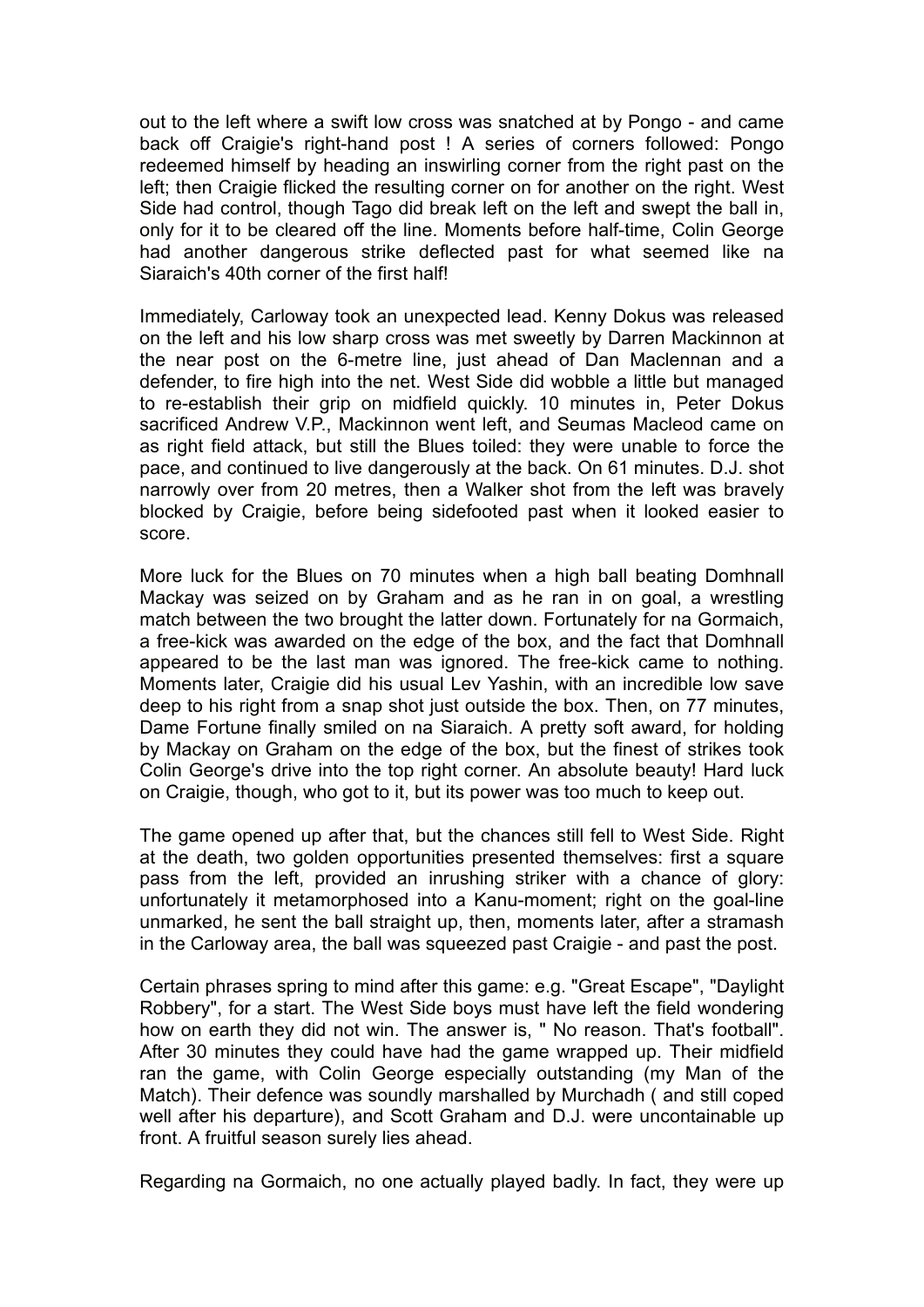out to the left where a swift low cross was snatched at by Pongo - and came back off Craigie's right-hand post ! A series of corners followed: Pongo redeemed himself by heading an inswirling corner from the right past on the left; then Craigie flicked the resulting corner on for another on the right. West Side had control, though Tago did break left on the left and swept the ball in, only for it to be cleared off the line. Moments before half-time, Colin George had another dangerous strike deflected past for what seemed like na Siaraich's 40th corner of the first half!

Immediately, Carloway took an unexpected lead. Kenny Dokus was released on the left and his low sharp cross was met sweetly by Darren Mackinnon at the near post on the 6-metre line, just ahead of Dan Maclennan and a defender, to fire high into the net. West Side did wobble a little but managed to re-establish their grip on midfield quickly. 10 minutes in, Peter Dokus sacrificed Andrew V.P., Mackinnon went left, and Seumas Macleod came on as right field attack, but still the Blues toiled: they were unable to force the pace, and continued to live dangerously at the back. On 61 minutes. D.J. shot narrowly over from 20 metres, then a Walker shot from the left was bravely blocked by Craigie, before being sidefooted past when it looked easier to score.

More luck for the Blues on 70 minutes when a high ball beating Domhnall Mackay was seized on by Graham and as he ran in on goal, a wrestling match between the two brought the latter down. Fortunately for na Gormaich, a free-kick was awarded on the edge of the box, and the fact that Domhnall appeared to be the last man was ignored. The free-kick came to nothing. Moments later, Craigie did his usual Lev Yashin, with an incredible low save deep to his right from a snap shot just outside the box. Then, on 77 minutes, Dame Fortune finally smiled on na Siaraich. A pretty soft award, for holding by Mackay on Graham on the edge of the box, but the finest of strikes took Colin George's drive into the top right corner. An absolute beauty! Hard luck on Craigie, though, who got to it, but its power was too much to keep out.

The game opened up after that, but the chances still fell to West Side. Right at the death, two golden opportunities presented themselves: first a square pass from the left, provided an inrushing striker with a chance of glory: unfortunately it metamorphosed into a Kanu-moment; right on the goal-line unmarked, he sent the ball straight up, then, moments later, after a stramash in the Carloway area, the ball was squeezed past Craigie - and past the post.

Certain phrases spring to mind after this game: e.g. "Great Escape", "Daylight Robbery", for a start. The West Side boys must have left the field wondering how on earth they did not win. The answer is, " No reason. That's football". After 30 minutes they could have had the game wrapped up. Their midfield ran the game, with Colin George especially outstanding (my Man of the Match). Their defence was soundly marshalled by Murchadh ( and still coped well after his departure), and Scott Graham and D.J. were uncontainable up front. A fruitful season surely lies ahead.

Regarding na Gormaich, no one actually played badly. In fact, they were up